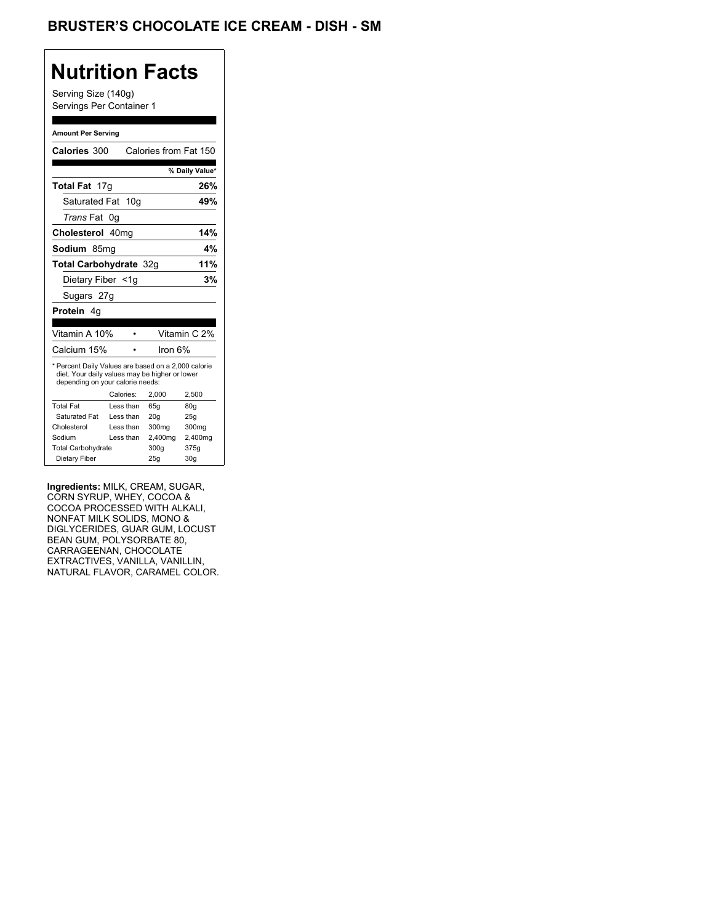# **Nutrition Facts**

Serving Size (140g) Servings Per Container 1

#### **Amount Per Serving**

| <b>Calories 300</b>                                                                                                                       |    |           |         | Calories from Fat 150 |
|-------------------------------------------------------------------------------------------------------------------------------------------|----|-----------|---------|-----------------------|
|                                                                                                                                           |    |           |         | % Daily Value*        |
| Total Fat 17g                                                                                                                             |    |           |         | 26%                   |
| Saturated Fat                                                                                                                             |    | 10q       |         | 49%                   |
| <i>Trans</i> Fat                                                                                                                          | 0g |           |         |                       |
| Cholesterol 40mg                                                                                                                          |    |           |         | 14%                   |
| Sodium 85mq                                                                                                                               |    |           |         | 4%                    |
| Total Carbohydrate 32g                                                                                                                    |    |           |         | 11%                   |
| Dietary Fiber <1g                                                                                                                         |    |           |         | 3%                    |
| Sugars 27g                                                                                                                                |    |           |         |                       |
| <b>Protein</b> 4q                                                                                                                         |    |           |         |                       |
|                                                                                                                                           |    |           |         |                       |
| Vitamin A 10%                                                                                                                             |    |           |         | Vitamin C 2%          |
| Calcium 15%                                                                                                                               |    |           | Iron 6% |                       |
| * Percent Daily Values are based on a 2,000 calorie<br>diet. Your daily values may be higher or lower<br>depending on your calorie needs: |    |           |         |                       |
|                                                                                                                                           |    | Calories: | 2.000   | 2,500                 |
| <b>Total Fat</b>                                                                                                                          |    | Less than | 65q     | 80g                   |
| Saturated Fat                                                                                                                             |    | Less than | 20q     | 25g                   |
| Cholesterol                                                                                                                               |    | Less than | 300mg   | 300mg                 |
| Sodium                                                                                                                                    |    | Less than | 2,400mg | 2,400mg               |
| <b>Total Carbohydrate</b>                                                                                                                 |    |           | 300g    | 375g                  |
|                                                                                                                                           |    |           |         |                       |

**Ingredients:** MILK, CREAM, SUGAR, CORN SYRUP, WHEY, COCOA & COCOA PROCESSED WITH ALKALI, NONFAT MILK SOLIDS, MONO & DIGLYCERIDES, GUAR GUM, LOCUST BEAN GUM, POLYSORBATE 80, CARRAGEENAN, CHOCOLATE EXTRACTIVES, VANILLA, VANILLIN, NATURAL FLAVOR, CARAMEL COLOR.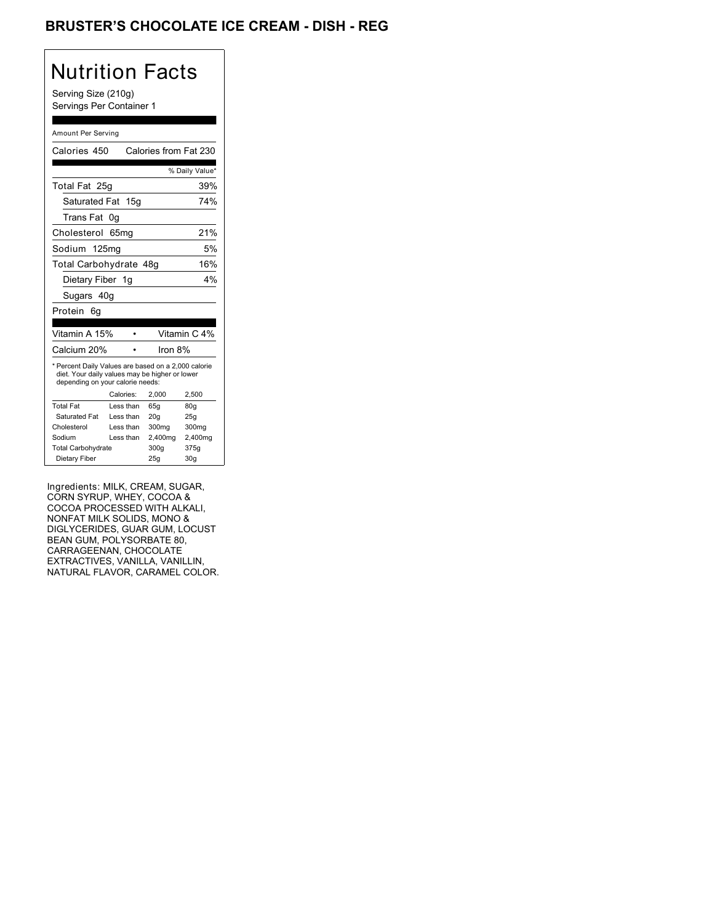## BRUSTER'S CHOCOLATE ICE CREAM - DISH - REG

# Nutrition Facts

Serving Size (210g) Servings Per Container 1

#### Amount Per Serving

| Calories 450                                                                                                                              |           |     |                 | Calories from Fat 230 |
|-------------------------------------------------------------------------------------------------------------------------------------------|-----------|-----|-----------------|-----------------------|
|                                                                                                                                           |           |     |                 | % Daily Value*        |
| Total Fat 25g                                                                                                                             |           |     |                 | 39%                   |
| Saturated Fat                                                                                                                             |           | 15q |                 | 74%                   |
| Trans Fat                                                                                                                                 | 0g        |     |                 |                       |
| Cholesterol 65mg                                                                                                                          |           |     |                 | 21%                   |
| Sodium 125mg                                                                                                                              |           |     |                 | 5%                    |
| Total Carbohydrate 48g                                                                                                                    |           |     |                 | 16%                   |
| Dietary Fiber 1g                                                                                                                          |           |     |                 | 4%                    |
| Sugars 40g                                                                                                                                |           |     |                 |                       |
| Protein<br>6g                                                                                                                             |           |     |                 |                       |
| Vitamin A 15%                                                                                                                             |           |     |                 | Vitamin C 4%          |
| Calcium 20%                                                                                                                               |           |     | Iron 8%         |                       |
|                                                                                                                                           |           |     |                 |                       |
| * Percent Daily Values are based on a 2,000 calorie<br>diet. Your daily values may be higher or lower<br>depending on your calorie needs: |           |     |                 |                       |
|                                                                                                                                           | Calories: |     | 2.000           | 2,500                 |
| <b>Total Fat</b>                                                                                                                          | Less than |     | 65q             | 80g                   |
| Saturated Fat                                                                                                                             | Less than |     | 20 <sub>g</sub> | 25g                   |
| Cholesterol                                                                                                                               | Less than |     | 300mg           | 300mg                 |
| Sodium                                                                                                                                    | Less than |     | 2,400mg         | 2,400mg               |
| <b>Total Carbohydrate</b>                                                                                                                 |           |     | 300g            | 375g                  |
| Dietary Fiber                                                                                                                             |           |     | 25g             | 30q                   |

Ingredients: MILK, CREAM, SUGAR, CORN SYRUP, WHEY, COCOA & COCOA PROCESSED WITH ALKALI, NONFAT MILK SOLIDS, MONO & DIGLYCERIDES, GUAR GUM, LOCUST BEAN GUM, POLYSORBATE 80, CARRAGEENAN, CHOCOLATE EXTRACTIVES, VANILLA, VANILLIN, NATURAL FLAVOR, CARAMEL COLOR.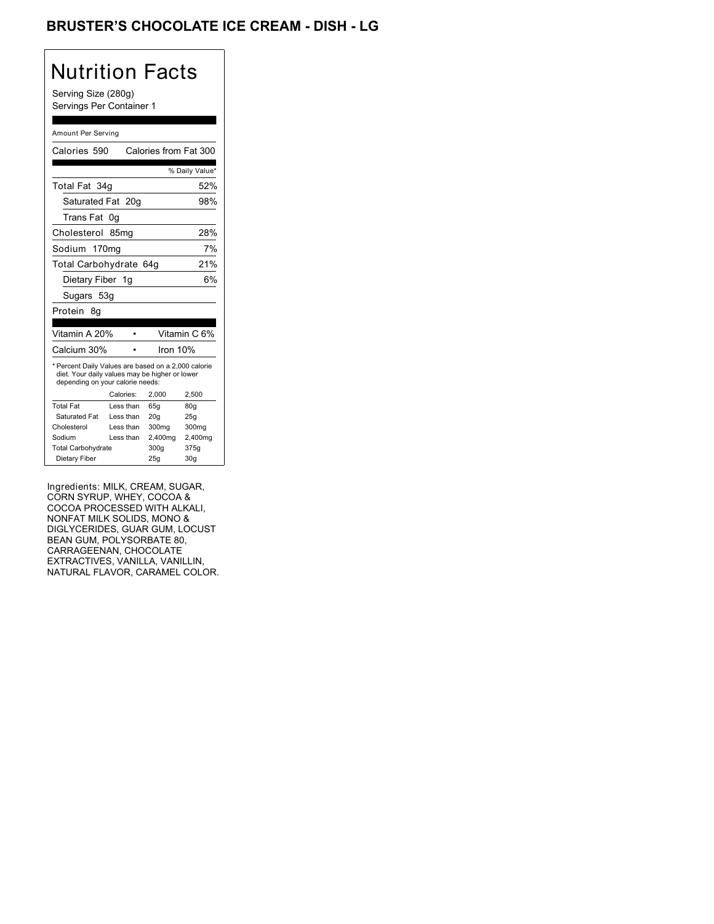## BRUSTER'S CHOCOLATE ICE CREAM - DISH - LG

# Nutrition Facts

Serving Size (280g) Servings Per Container 1

#### Amount Per Serving

| Calories 590                                                                                                                              |           |  | Calories from Fat 300 |                 |
|-------------------------------------------------------------------------------------------------------------------------------------------|-----------|--|-----------------------|-----------------|
|                                                                                                                                           |           |  |                       | % Daily Value*  |
| Total Fat 34g                                                                                                                             |           |  |                       | 52%             |
| Saturated Fat 20g                                                                                                                         |           |  |                       | 98%             |
| Trans Fat                                                                                                                                 | 0g        |  |                       |                 |
| Cholesterol 85mg                                                                                                                          |           |  |                       | 28%             |
| Sodium 170mg                                                                                                                              |           |  |                       | 7%              |
| Total Carbohydrate 64g                                                                                                                    |           |  |                       | 21%             |
| Dietary Fiber 1g                                                                                                                          |           |  |                       | 6%              |
| Sugars 53g                                                                                                                                |           |  |                       |                 |
| Protein<br>8q                                                                                                                             |           |  |                       |                 |
|                                                                                                                                           |           |  |                       |                 |
| Vitamin A 20%                                                                                                                             |           |  |                       | Vitamin C 6%    |
| Calcium 30%                                                                                                                               |           |  | Iron 10%              |                 |
| * Percent Daily Values are based on a 2,000 calorie<br>diet. Your daily values may be higher or lower<br>depending on your calorie needs: |           |  |                       |                 |
|                                                                                                                                           | Calories: |  | 2.000                 | 2,500           |
| <b>Total Fat</b>                                                                                                                          | Less than |  | 65q                   | 80q             |
| Saturated Fat                                                                                                                             | Less than |  | 20q                   | 25g             |
| Cholesterol                                                                                                                               | Less than |  | 300mg                 | 300mg           |
| Sodium                                                                                                                                    | Less than |  | 2,400mg               | 2,400mg         |
| <b>Total Carbohydrate</b>                                                                                                                 |           |  | 300g                  | 375g            |
| Dietary Fiber                                                                                                                             |           |  | 25q                   | 30 <sub>q</sub> |

Ingredients: MILK, CREAM, SUGAR, CORN SYRUP, WHEY, COCOA & COCOA PROCESSED WITH ALKALI, NONFAT MILK SOLIDS, MONO & DIGLYCERIDES, GUAR GUM, LOCUST BEAN GUM, POLYSORBATE 80, CARRAGEENAN, CHOCOLATE EXTRACTIVES, VANILLA, VANILLIN, NATURAL FLAVOR, CARAMEL COLOR.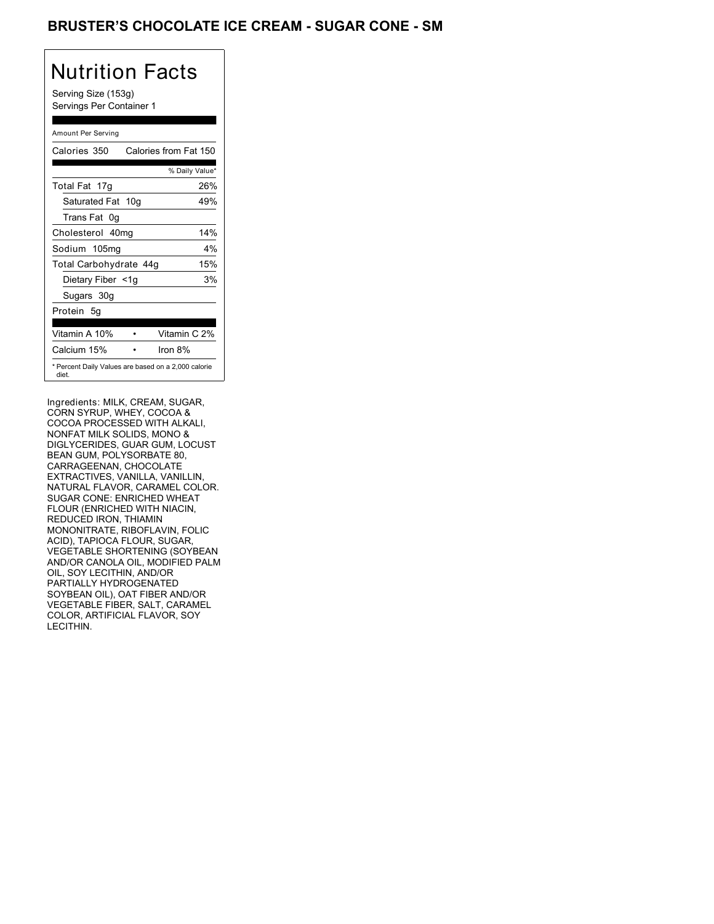### BRUSTER'S CHOCOLATE ICE CREAM - SUGAR CONE - SM

# Nutrition Facts

Serving Size (153g) Servings Per Container 1

### Amount Per Serving

| Calories 350           | Calories from Fat 150                               |
|------------------------|-----------------------------------------------------|
|                        | % Daily Value*                                      |
| Total Fat 17g          | 26%                                                 |
| Saturated Fat 10g      | 49%                                                 |
| Trans Fat 0q           |                                                     |
| Cholesterol 40mg       | 14%                                                 |
| Sodium 105mg           | $4\%$                                               |
| Total Carbohydrate 44g | 15%                                                 |
| Dietary Fiber <1g      | 3%                                                  |
| Sugars 30g             |                                                     |
| Protein 5q             |                                                     |
|                        |                                                     |
| Vitamin A 10%          | Vitamin C 2%                                        |
| Calcium 15%            | Iron $8%$                                           |
| diet.                  | * Percent Daily Values are based on a 2,000 calorie |

Ingredients: MILK, CREAM, SUGAR, CORN SYRUP, WHEY, COCOA & COCOA PROCESSED WITH ALKALI, NONFAT MILK SOLIDS, MONO & DIGLYCERIDES, GUAR GUM, LOCUST BEAN GUM, POLYSORBATE 80, CARRAGEENAN, CHOCOLATE EXTRACTIVES, VANILLA, VANILLIN, NATURAL FLAVOR, CARAMEL COLOR. SUGAR CONE: ENRICHED WHEAT FLOUR (ENRICHED WITH NIACIN, REDUCED IRON, THIAMIN MONONITRATE, RIBOFLAVIN, FOLIC ACID), TAPIOCA FLOUR, SUGAR, VEGETABLE SHORTENING (SOYBEAN AND/OR CANOLA OIL, MODIFIED PALM OIL, SOY LECITHIN, AND/OR PARTIALLY HYDROGENATED SOYBEAN OIL), OAT FIBER AND/OR VEGETABLE FIBER, SALT, CARAMEL COLOR, ARTIFICIAL FLAVOR, SOY LECITHIN.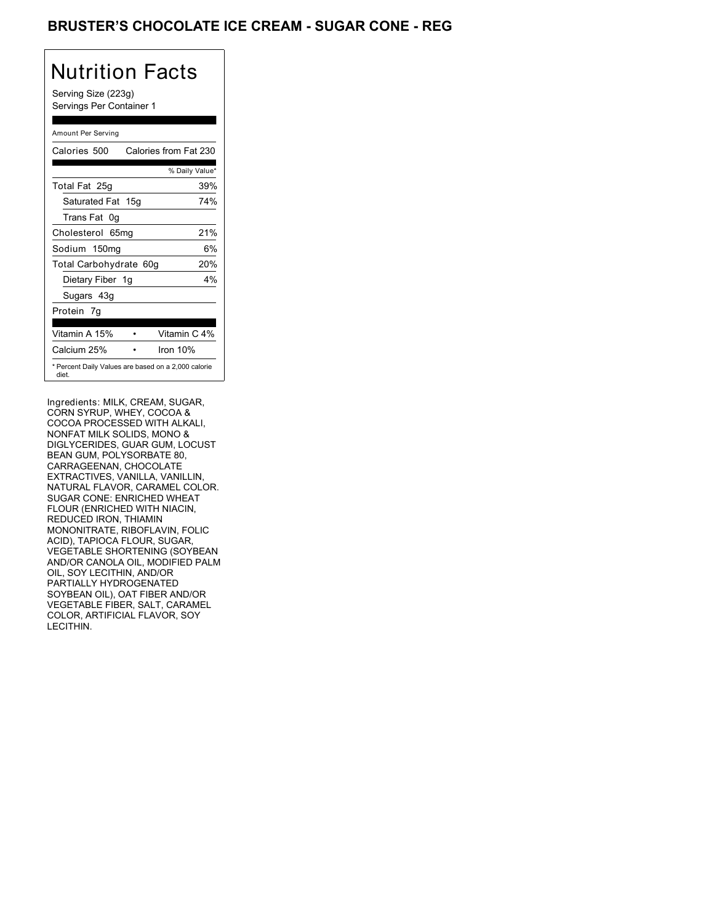### BRUSTER'S CHOCOLATE ICE CREAM - SUGAR CONE - REG

# Nutrition Facts

Serving Size (223g) Servings Per Container 1

### Amount Per Serving

| Calories 500                                                 | Calories from Fat 230 |
|--------------------------------------------------------------|-----------------------|
|                                                              | % Daily Value*        |
| Total Fat 25g                                                | 39%                   |
| Saturated Fat 15g                                            | 74%                   |
| Trans Fat 0q                                                 |                       |
| Cholesterol 65mg                                             | 21%                   |
| Sodium 150mg                                                 | 6%                    |
| Total Carbohydrate 60g                                       | 20%                   |
| Dietary Fiber 1g                                             | $4\%$                 |
| Sugars 43g                                                   |                       |
| Protein 7q                                                   |                       |
| Vitamin A 15%                                                | Vitamin C 4%          |
| Calcium 25%                                                  | Iron $10%$            |
| * Percent Daily Values are based on a 2,000 calorie<br>diet. |                       |

Ingredients: MILK, CREAM, SUGAR, CORN SYRUP, WHEY, COCOA & COCOA PROCESSED WITH ALKALI, NONFAT MILK SOLIDS, MONO & DIGLYCERIDES, GUAR GUM, LOCUST BEAN GUM, POLYSORBATE 80, CARRAGEENAN, CHOCOLATE EXTRACTIVES, VANILLA, VANILLIN, NATURAL FLAVOR, CARAMEL COLOR. SUGAR CONE: ENRICHED WHEAT FLOUR (ENRICHED WITH NIACIN, REDUCED IRON, THIAMIN MONONITRATE, RIBOFLAVIN, FOLIC ACID), TAPIOCA FLOUR, SUGAR, VEGETABLE SHORTENING (SOYBEAN AND/OR CANOLA OIL, MODIFIED PALM OIL, SOY LECITHIN, AND/OR PARTIALLY HYDROGENATED SOYBEAN OIL), OAT FIBER AND/OR VEGETABLE FIBER, SALT, CARAMEL COLOR, ARTIFICIAL FLAVOR, SOY LECITHIN.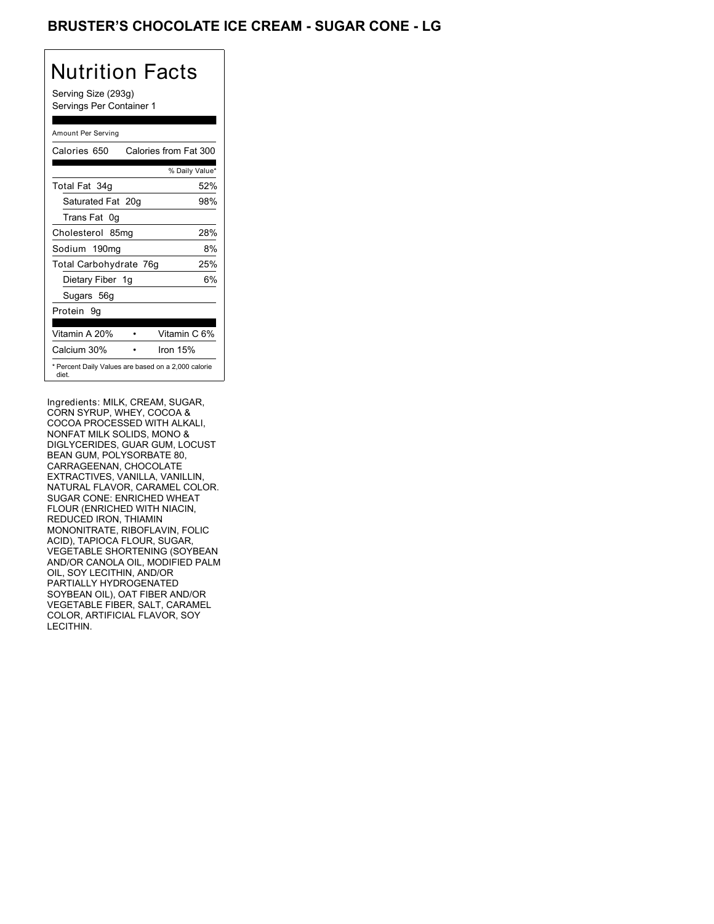## BRUSTER'S CHOCOLATE ICE CREAM - SUGAR CONE - LG

# Nutrition Facts

Serving Size (293g) Servings Per Container 1

#### Amount Per Serving

| Calories 650           | Calories from Fat 300                               |
|------------------------|-----------------------------------------------------|
|                        | % Daily Value*                                      |
| Total Fat 34g          | 52%                                                 |
| Saturated Fat 20g      | 98%                                                 |
| Trans Fat 0q           |                                                     |
| Cholesterol 85mg       | 28%                                                 |
| Sodium 190mg           | 8%                                                  |
| Total Carbohydrate 76g | 25%                                                 |
| Dietary Fiber 1g       | 6%                                                  |
| Sugars 56g             |                                                     |
| Protein 9q             |                                                     |
|                        |                                                     |
| Vitamin A 20%          | Vitamin C 6%                                        |
| Calcium 30%            | Iron $15%$                                          |
| diet.                  | * Percent Daily Values are based on a 2,000 calorie |

Ingredients: MILK, CREAM, SUGAR, CORN SYRUP, WHEY, COCOA & COCOA PROCESSED WITH ALKALI, NONFAT MILK SOLIDS, MONO & DIGLYCERIDES, GUAR GUM, LOCUST BEAN GUM, POLYSORBATE 80, CARRAGEENAN, CHOCOLATE EXTRACTIVES, VANILLA, VANILLIN, NATURAL FLAVOR, CARAMEL COLOR. SUGAR CONE: ENRICHED WHEAT FLOUR (ENRICHED WITH NIACIN, REDUCED IRON, THIAMIN MONONITRATE, RIBOFLAVIN, FOLIC ACID), TAPIOCA FLOUR, SUGAR, VEGETABLE SHORTENING (SOYBEAN AND/OR CANOLA OIL, MODIFIED PALM OIL, SOY LECITHIN, AND/OR PARTIALLY HYDROGENATED SOYBEAN OIL), OAT FIBER AND/OR VEGETABLE FIBER, SALT, CARAMEL COLOR, ARTIFICIAL FLAVOR, SOY LECITHIN.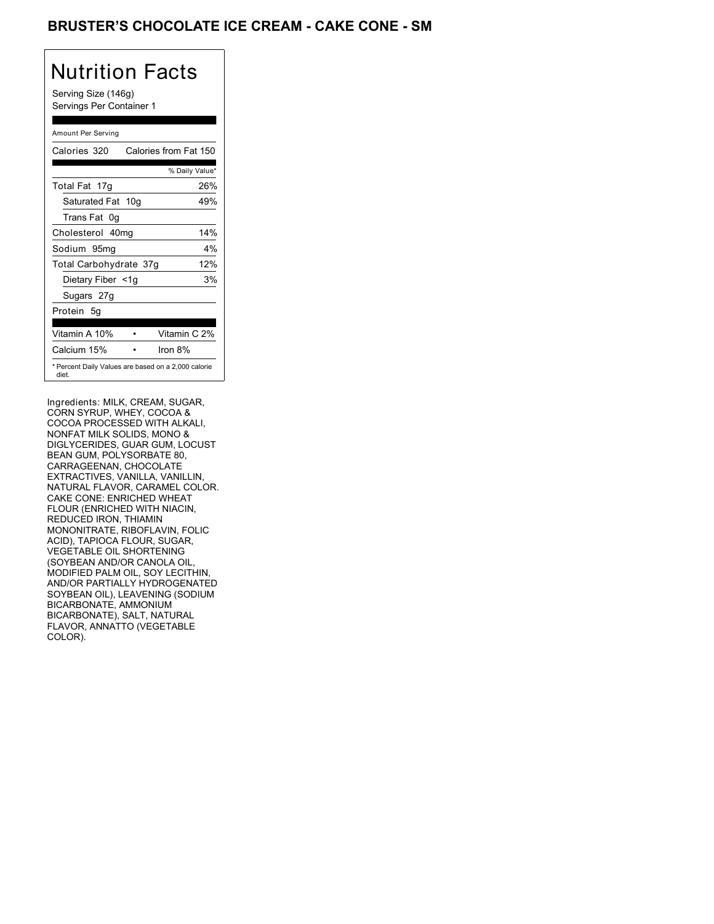## BRUSTER'S CHOCOLATE ICE CREAM - CAKE CONE - SM

# Nutrition Facts

Serving Size (146g) Servings Per Container 1

### Amount Per Serving

| Calories 320           | Calories from Fat 150                               |
|------------------------|-----------------------------------------------------|
|                        | % Daily Value*                                      |
| Total Fat 17g          | 26%                                                 |
| Saturated Fat 10g      | 49%                                                 |
| Trans Fat 0q           |                                                     |
| Cholesterol 40mg       | 14%                                                 |
| Sodium 95mg            | $4\%$                                               |
| Total Carbohydrate 37g | 12%                                                 |
| Dietary Fiber <1g      | 3%                                                  |
| Sugars 27g             |                                                     |
| Protein 5q             |                                                     |
| Vitamin A 10%          | Vitamin C 2%                                        |
| Calcium 15%            | Iron $8\%$                                          |
| diet.                  | * Percent Daily Values are based on a 2,000 calorie |

Ingredients: MILK, CREAM, SUGAR, CORN SYRUP, WHEY, COCOA & COCOA PROCESSED WITH ALKALI, NONFAT MILK SOLIDS, MONO & DIGLYCERIDES, GUAR GUM, LOCUST BEAN GUM, POLYSORBATE 80, CARRAGEENAN, CHOCOLATE EXTRACTIVES, VANILLA, VANILLIN, NATURAL FLAVOR, CARAMEL COLOR. CAKE CONE: ENRICHED WHEAT FLOUR (ENRICHED WITH NIACIN, REDUCED IRON, THIAMIN MONONITRATE, RIBOFLAVIN, FOLIC ACID), TAPIOCA FLOUR, SUGAR, VEGETABLE OIL SHORTENING (SOYBEAN AND/OR CANOLA OIL, MODIFIED PALM OIL, SOY LECITHIN, AND/OR PARTIALLY HYDROGENATED SOYBEAN OIL), LEAVENING (SODIUM BICARBONATE, AMMONIUM BICARBONATE), SALT, NATURAL FLAVOR, ANNATTO (VEGETABLE COLOR).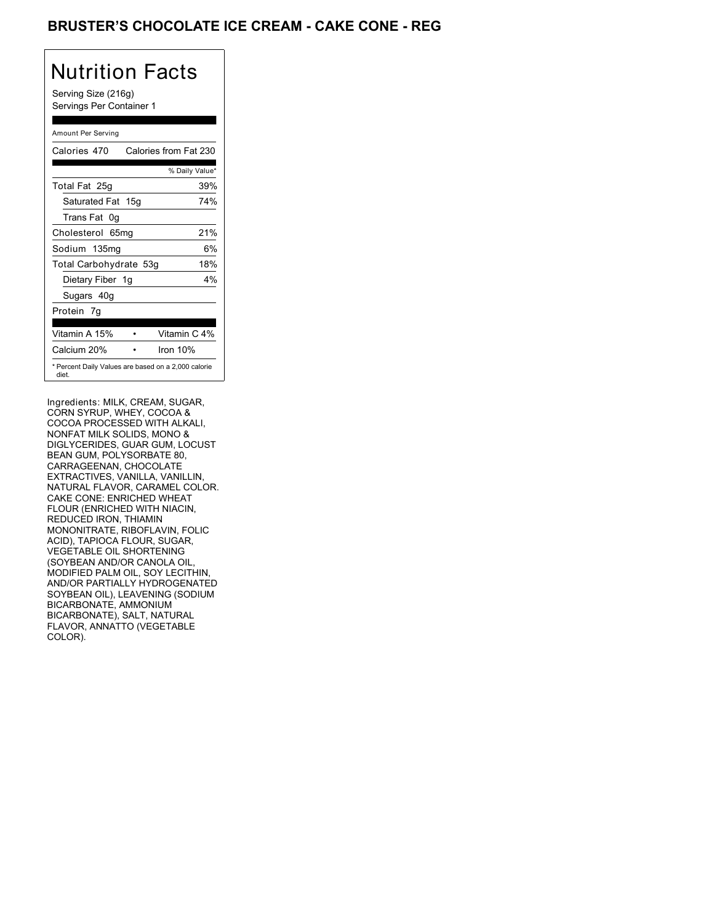## BRUSTER'S CHOCOLATE ICE CREAM - CAKE CONE - REG

# Nutrition Facts

Serving Size (216g) Servings Per Container 1

### Amount Per Serving

| Calories 470                                                 | Calories from Fat 230 |
|--------------------------------------------------------------|-----------------------|
|                                                              | % Daily Value*        |
| Total Fat 25g                                                | 39%                   |
| Saturated Fat 15g                                            | 74%                   |
| Trans Fat 0q                                                 |                       |
| Cholesterol 65mg                                             | 21%                   |
| Sodium 135mg                                                 | 6%                    |
| Total Carbohydrate 53g                                       | 18%                   |
| Dietary Fiber 1g                                             | $4\%$                 |
| Sugars 40g                                                   |                       |
| Protein 7q                                                   |                       |
| Vitamin A 15%                                                | Vitamin C 4%          |
| Calcium 20%                                                  | Iron $10%$            |
| * Percent Daily Values are based on a 2,000 calorie<br>diet. |                       |

Ingredients: MILK, CREAM, SUGAR, CORN SYRUP, WHEY, COCOA & COCOA PROCESSED WITH ALKALI, NONFAT MILK SOLIDS, MONO & DIGLYCERIDES, GUAR GUM, LOCUST BEAN GUM, POLYSORBATE 80, CARRAGEENAN, CHOCOLATE EXTRACTIVES, VANILLA, VANILLIN, NATURAL FLAVOR, CARAMEL COLOR. CAKE CONE: ENRICHED WHEAT FLOUR (ENRICHED WITH NIACIN, REDUCED IRON, THIAMIN MONONITRATE, RIBOFLAVIN, FOLIC ACID), TAPIOCA FLOUR, SUGAR, VEGETABLE OIL SHORTENING (SOYBEAN AND/OR CANOLA OIL, MODIFIED PALM OIL, SOY LECITHIN, AND/OR PARTIALLY HYDROGENATED SOYBEAN OIL), LEAVENING (SODIUM BICARBONATE, AMMONIUM BICARBONATE), SALT, NATURAL FLAVOR, ANNATTO (VEGETABLE COLOR).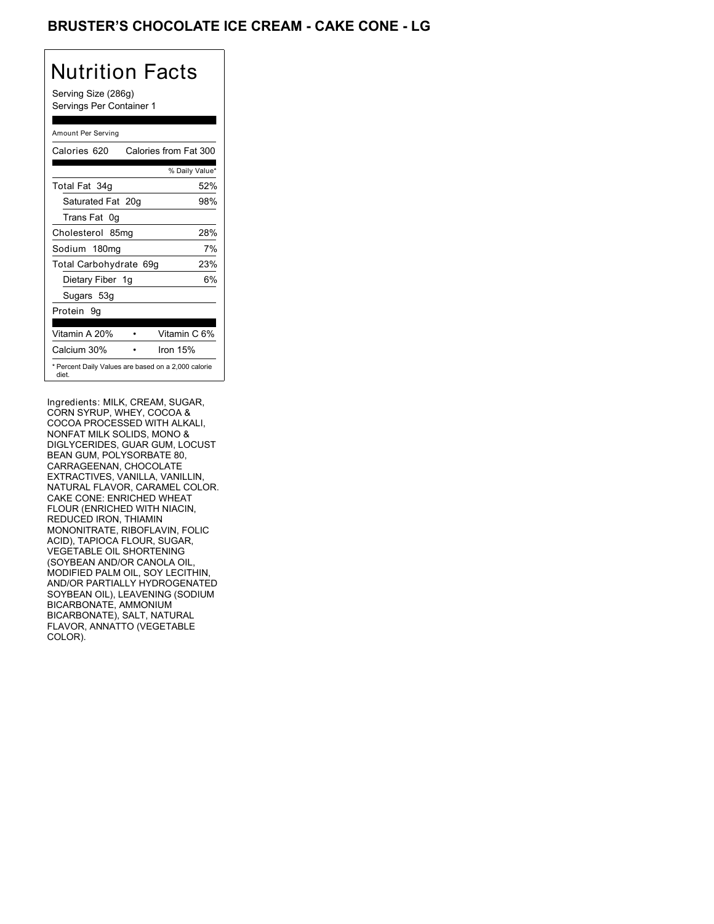## BRUSTER'S CHOCOLATE ICE CREAM - CAKE CONE - LG

# Nutrition Facts

Serving Size (286g) Servings Per Container 1

### Amount Per Serving

| Calories 620                                                 | Calories from Fat 300 |
|--------------------------------------------------------------|-----------------------|
|                                                              | % Daily Value*        |
| Total Fat 34g                                                | 52%                   |
| Saturated Fat 20g                                            | 98%                   |
| Trans Fat 0q                                                 |                       |
| Cholesterol 85mg                                             | 28%                   |
| Sodium 180mg                                                 | 7%                    |
| Total Carbohydrate 69g                                       | 23%                   |
| Dietary Fiber 1g                                             | 6%                    |
| Sugars 53g                                                   |                       |
| Protein 9q                                                   |                       |
|                                                              |                       |
| Vitamin A 20%                                                | Vitamin C 6%          |
| Calcium 30%                                                  | Iron $15%$            |
| * Percent Daily Values are based on a 2,000 calorie<br>diet. |                       |

Ingredients: MILK, CREAM, SUGAR, CORN SYRUP, WHEY, COCOA & COCOA PROCESSED WITH ALKALI, NONFAT MILK SOLIDS, MONO & DIGLYCERIDES, GUAR GUM, LOCUST BEAN GUM, POLYSORBATE 80, CARRAGEENAN, CHOCOLATE EXTRACTIVES, VANILLA, VANILLIN, NATURAL FLAVOR, CARAMEL COLOR. CAKE CONE: ENRICHED WHEAT FLOUR (ENRICHED WITH NIACIN, REDUCED IRON, THIAMIN MONONITRATE, RIBOFLAVIN, FOLIC ACID), TAPIOCA FLOUR, SUGAR, VEGETABLE OIL SHORTENING (SOYBEAN AND/OR CANOLA OIL, MODIFIED PALM OIL, SOY LECITHIN, AND/OR PARTIALLY HYDROGENATED SOYBEAN OIL), LEAVENING (SODIUM BICARBONATE, AMMONIUM BICARBONATE), SALT, NATURAL FLAVOR, ANNATTO (VEGETABLE COLOR).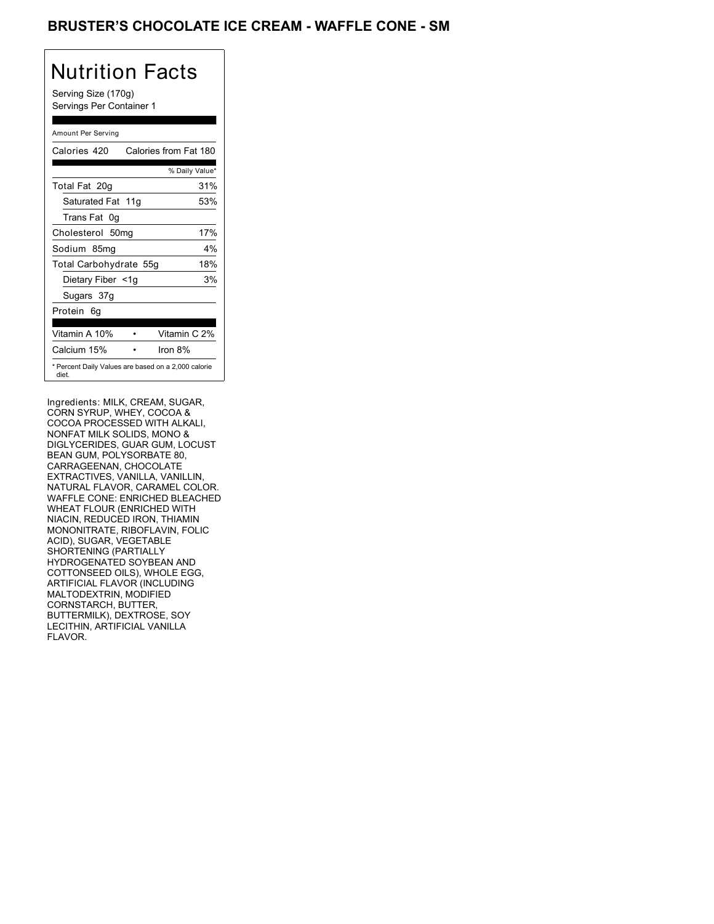### BRUSTER'S CHOCOLATE ICE CREAM - WAFFLE CONE - SM

# Nutrition Facts

Serving Size (170g) Servings Per Container 1

### Amount Per Serving

| Calories 420           | Calories from Fat 180                               |
|------------------------|-----------------------------------------------------|
|                        | % Daily Value*                                      |
| Total Fat 20g          | 31%                                                 |
| Saturated Fat 11g      | 53%                                                 |
| Trans Fat 0q           |                                                     |
| Cholesterol 50mg       | 17%                                                 |
| Sodium 85mg            | $4\%$                                               |
| Total Carbohydrate 55g | 18%                                                 |
| Dietary Fiber <1g      | 3%                                                  |
| Sugars 37g             |                                                     |
| Protein 6q             |                                                     |
| Vitamin A 10%          | Vitamin C 2%                                        |
| Calcium 15%            | Iron $8\%$                                          |
| diet.                  | * Percent Daily Values are based on a 2,000 calorie |

Ingredients: MILK, CREAM, SUGAR, CORN SYRUP, WHEY, COCOA & COCOA PROCESSED WITH ALKALI, NONFAT MILK SOLIDS, MONO & DIGLYCERIDES, GUAR GUM, LOCUST BEAN GUM, POLYSORBATE 80, CARRAGEENAN, CHOCOLATE EXTRACTIVES, VANILLA, VANILLIN, NATURAL FLAVOR, CARAMEL COLOR. WAFFLE CONE: ENRICHED BLEACHED WHEAT FLOUR (ENRICHED WITH NIACIN, REDUCED IRON, THIAMIN MONONITRATE, RIBOFLAVIN, FOLIC ACID), SUGAR, VEGETABLE SHORTENING (PARTIALLY HYDROGENATED SOYBEAN AND COTTONSEED OILS), WHOLE EGG, ARTIFICIAL FLAVOR (INCLUDING MALTODEXTRIN, MODIFIED CORNSTARCH, BUTTER, BUTTERMILK), DEXTROSE, SOY LECITHIN, ARTIFICIAL VANILLA FLAVOR.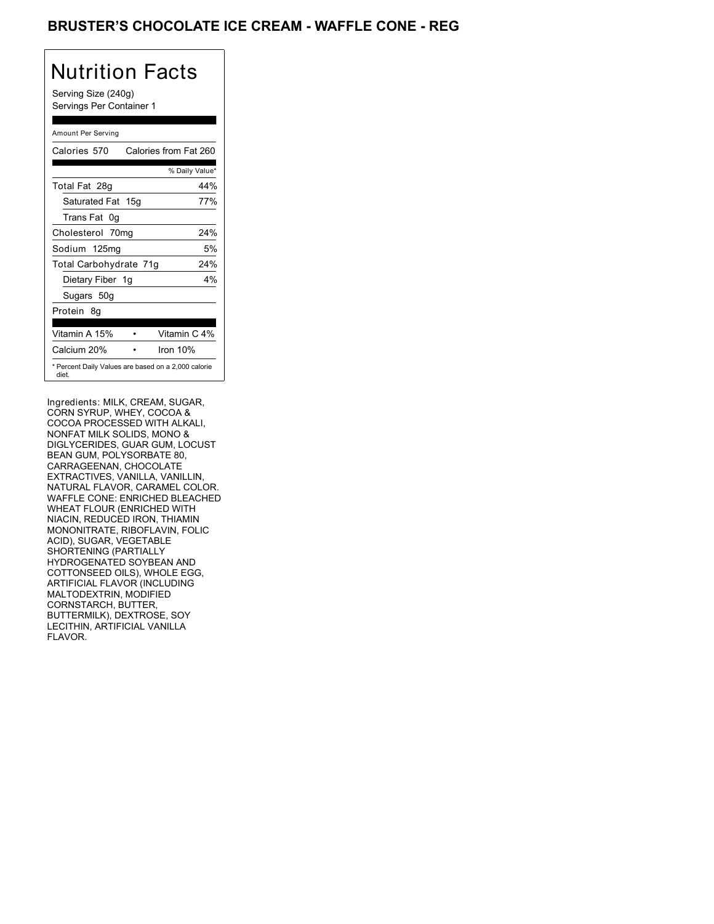### BRUSTER'S CHOCOLATE ICE CREAM - WAFFLE CONE - REG

# Nutrition Facts

Serving Size (240g) Servings Per Container 1

### Amount Per Serving

| Calories 570                                                 | Calories from Fat 260 |       |
|--------------------------------------------------------------|-----------------------|-------|
|                                                              | % Daily Value*        |       |
| Total Fat 28g                                                |                       | 44%   |
| Saturated Fat 15g                                            |                       | 77%   |
| Trans Fat 0q                                                 |                       |       |
| Cholesterol 70mg                                             |                       | 24%   |
| Sodium 125mg                                                 |                       | 5%    |
| Total Carbohydrate 71g                                       |                       | 24%   |
| Dietary Fiber 1g                                             |                       | $4\%$ |
| Sugars 50g                                                   |                       |       |
| Protein 8q                                                   |                       |       |
| Vitamin A 15%                                                | Vitamin C 4%          |       |
| Calcium 20%                                                  | Iron $10%$            |       |
| * Percent Daily Values are based on a 2,000 calorie<br>diet. |                       |       |

Ingredients: MILK, CREAM, SUGAR, CORN SYRUP, WHEY, COCOA & COCOA PROCESSED WITH ALKALI, NONFAT MILK SOLIDS, MONO & DIGLYCERIDES, GUAR GUM, LOCUST BEAN GUM, POLYSORBATE 80, CARRAGEENAN, CHOCOLATE EXTRACTIVES, VANILLA, VANILLIN, NATURAL FLAVOR, CARAMEL COLOR. WAFFLE CONE: ENRICHED BLEACHED WHEAT FLOUR (ENRICHED WITH NIACIN, REDUCED IRON, THIAMIN MONONITRATE, RIBOFLAVIN, FOLIC ACID), SUGAR, VEGETABLE SHORTENING (PARTIALLY HYDROGENATED SOYBEAN AND COTTONSEED OILS), WHOLE EGG, ARTIFICIAL FLAVOR (INCLUDING MALTODEXTRIN, MODIFIED CORNSTARCH, BUTTER, BUTTERMILK), DEXTROSE, SOY LECITHIN, ARTIFICIAL VANILLA FLAVOR.